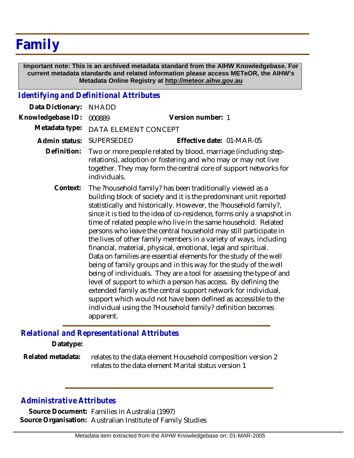## **Family**

 **Important note: This is an archived metadata standard from the AIHW Knowledgebase. For current metadata standards and related information please access METeOR, the AIHW's Metadata Online Registry at http://meteor.aihw.gov.au**

## *Identifying and Definitional Attributes*

| Data Dictionary:  | <b>NHADD</b>                                                                                                                                                                                                                                                                                                                                                                                                                                                                                                                                                                                                                                                                                                                                                                                                                                                                                                                                                                                                                                               |                           |
|-------------------|------------------------------------------------------------------------------------------------------------------------------------------------------------------------------------------------------------------------------------------------------------------------------------------------------------------------------------------------------------------------------------------------------------------------------------------------------------------------------------------------------------------------------------------------------------------------------------------------------------------------------------------------------------------------------------------------------------------------------------------------------------------------------------------------------------------------------------------------------------------------------------------------------------------------------------------------------------------------------------------------------------------------------------------------------------|---------------------------|
| Knowledgebase ID: | 000889                                                                                                                                                                                                                                                                                                                                                                                                                                                                                                                                                                                                                                                                                                                                                                                                                                                                                                                                                                                                                                                     | Version number: 1         |
| Metadata type:    | DATA ELEMENT CONCEPT                                                                                                                                                                                                                                                                                                                                                                                                                                                                                                                                                                                                                                                                                                                                                                                                                                                                                                                                                                                                                                       |                           |
| Admin status:     | SUPERSEDED                                                                                                                                                                                                                                                                                                                                                                                                                                                                                                                                                                                                                                                                                                                                                                                                                                                                                                                                                                                                                                                 | Effective date: 01-MAR-05 |
| Definition:       | Two or more people related by blood, marriage (including step-<br>relations), adoption or fostering and who may or may not live<br>together. They may form the central core of support networks for<br>individuals.                                                                                                                                                                                                                                                                                                                                                                                                                                                                                                                                                                                                                                                                                                                                                                                                                                        |                           |
| Context:          | The ?household family? has been traditionally viewed as a<br>building block of society and it is the predominant unit reported<br>statistically and historically. However, the ?household family?,<br>since it is tied to the idea of co-residence, forms only a snapshot in<br>time of related people who live in the same household. Related<br>persons who leave the central household may still participate in<br>the lives of other family members in a variety of ways, including<br>financial, material, physical, emotional, legal and spiritual.<br>Data on families are essential elements for the study of the well<br>being of family groups and in this way for the study of the well<br>being of individuals. They are a tool for assessing the type of and<br>level of support to which a person has access. By defining the<br>extended family as the central support network for individual,<br>support which would not have been defined as accessible to the<br>individual using the ?Household family? definition becomes<br>apparent. |                           |

## *Relational and Representational Attributes*

**Datatype:**

relates to the data element Household composition version 2 relates to the data element Marital status version 1 **Related metadata:**

## *Administrative Attributes*

**Source Document:** Families in Australia (1997) **Source Organisation:** Australian Institute of Family Studies